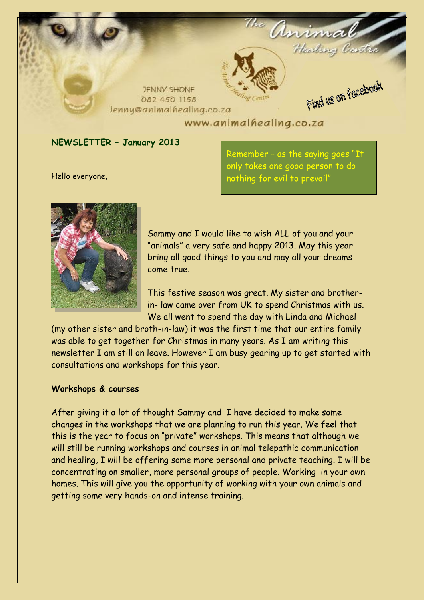

#### **NEWSLETTER – January 2013**

Hello everyone,

Remember – as the saying goes "It only takes one good person to do nothing for evil to prevail"



Sammy and I would like to wish ALL of you and your "animals" a very safe and happy 2013. May this year bring all good things to you and may all your dreams come true.

This festive season was great. My sister and brotherin- law came over from UK to spend Christmas with us. We all went to spend the day with Linda and Michael

(my other sister and broth-in-law) it was the first time that our entire family was able to get together for Christmas in many years. As I am writing this newsletter I am still on leave. However I am busy gearing up to get started with consultations and workshops for this year.

#### **Workshops & courses**

After giving it a lot of thought Sammy and I have decided to make some changes in the workshops that we are planning to run this year. We feel that this is the year to focus on "private" workshops. This means that although we will still be running workshops and courses in animal telepathic communication and healing, I will be offering some more personal and private teaching. I will be concentrating on smaller, more personal groups of people. Working in your own homes. This will give you the opportunity of working with your own animals and getting some very hands-on and intense training.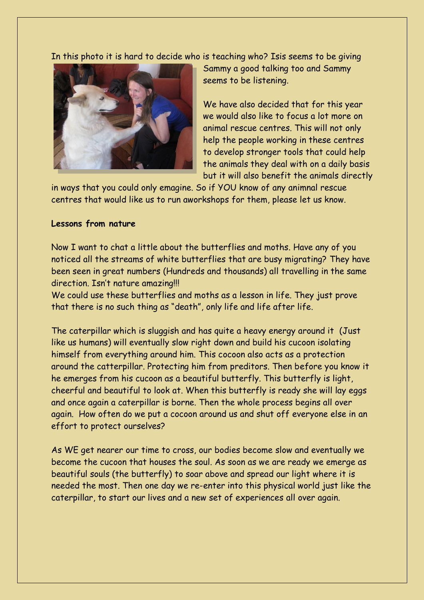In this photo it is hard to decide who is teaching who? Isis seems to be giving



Sammy a good talking too and Sammy seems to be listening.

We have also decided that for this year we would also like to focus a lot more on animal rescue centres. This will not only help the people working in these centres to develop stronger tools that could help the animals they deal with on a daily basis but it will also benefit the animals directly

in ways that you could only emagine. So if YOU know of any animnal rescue centres that would like us to run aworkshops for them, please let us know.

### **Lessons from nature**

Now I want to chat a little about the butterflies and moths. Have any of you noticed all the streams of white butterflies that are busy migrating? They have been seen in great numbers (Hundreds and thousands) all travelling in the same direction. Isn't nature amazing!!!

We could use these butterflies and moths as a lesson in life. They just prove that there is no such thing as "death", only life and life after life.

The caterpillar which is sluggish and has quite a heavy energy around it (Just like us humans) will eventually slow right down and build his cucoon isolating himself from everything around him. This cocoon also acts as a protection around the catterpillar. Protecting him from preditors. Then before you know it he emerges from his cucoon as a beautiful butterfly. This butterfly is light, cheerful and beautiful to look at. When this butterfly is ready she will lay eggs and once again a caterpillar is borne. Then the whole process begins all over again. How often do we put a cocoon around us and shut off everyone else in an effort to protect ourselves?

As WE get nearer our time to cross, our bodies become slow and eventually we become the cucoon that houses the soul. As soon as we are ready we emerge as beautiful souls (the butterfly) to soar above and spread our light where it is needed the most. Then one day we re-enter into this physical world just like the caterpillar, to start our lives and a new set of experiences all over again.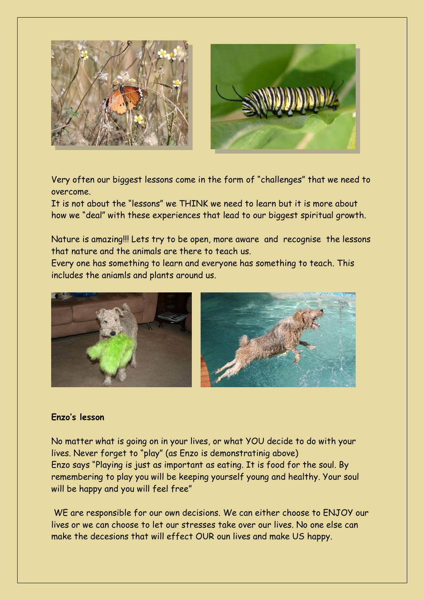



Very often our biggest lessons come in the form of "challenges" that we need to overcome.

It is not about the "lessons" we THINK we need to learn but it is more about how we "deal" with these experiences that lead to our biggest spiritual growth.

Nature is amazing!!! Lets try to be open, more aware and recognise the lessons that nature and the animals are there to teach us.

Every one has something to learn and everyone has something to teach. This includes the aniamls and plants around us.



# **Enzo's lesson**

No matter what is going on in your lives, or what YOU decide to do with your lives. Never forget to "play" (as Enzo is demonstratinig above) Enzo says "Playing is just as important as eating. It is food for the soul. By remembering to play you will be keeping yourself young and healthy. Your soul will be happy and you will feel free"

WE are responsible for our own decisions. We can either choose to ENJOY our lives or we can choose to let our stresses take over our lives. No one else can make the decesions that will effect OUR oun lives and make US happy.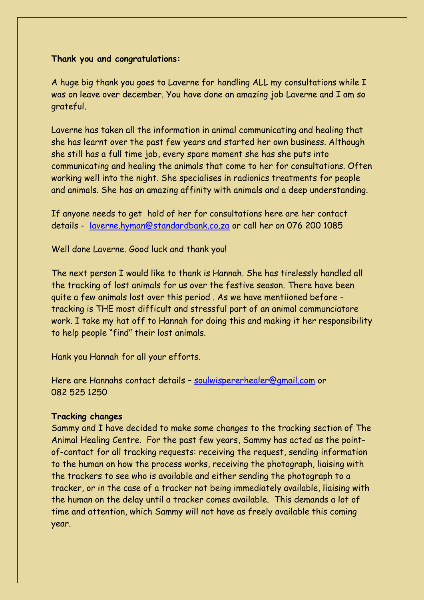## **Thank you and congratulations:**

A huge big thank you goes to Laverne for handling ALL my consultations while I was on leave over december. You have done an amazing job Laverne and I am so grateful.

Laverne has taken all the information in animal communicating and healing that she has learnt over the past few years and started her own business. Although she still has a full time job, every spare moment she has she puts into communicating and healing the animals that come to her for consultations. Often working well into the night. She specialises in radionics treatments for people and animals. She has an amazing affinity with animals and a deep understanding.

If anyone needs to get hold of her for consultations here are her contact details - [laverne.hyman@standardbank.co.za](mailto:laverne.hyman@standardbank.co.za) or call her on 076 200 1085

Well done Laverne. Good luck and thank you!

The next person I would like to thank is Hannah. She has tirelessly handled all the tracking of lost animals for us over the festive season. There have been quite a few animals lost over this period . As we have mentiioned before tracking is THE most difficult and stressful part of an animal communciatore work. I take my hat off to Hannah for doing this and making it her responsibility to help people "find" their lost animals.

Hank you Hannah for all your efforts.

Here are Hannahs contact details – [soulwispererhealer@gmail.com](mailto:soulwispererhealer@gmail.com) or 082 525 1250

#### **Tracking changes**

Sammy and I have decided to make some changes to the tracking section of The Animal Healing Centre. For the past few years, Sammy has acted as the pointof-contact for all tracking requests: receiving the request, sending information to the human on how the process works, receiving the photograph, liaising with the trackers to see who is available and either sending the photograph to a tracker, or in the case of a tracker not being immediately available, liaising with the human on the delay until a tracker comes available. This demands a lot of time and attention, which Sammy will not have as freely available this coming year.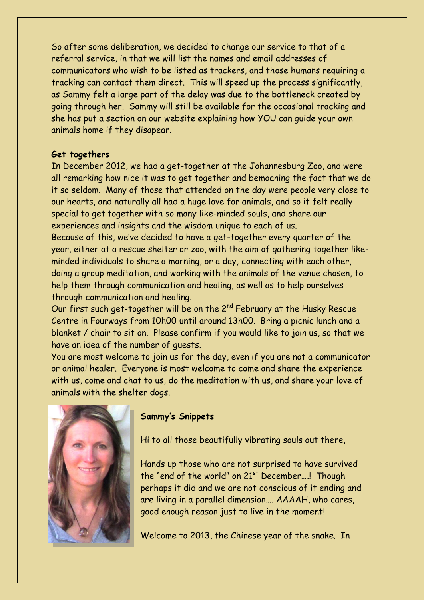So after some deliberation, we decided to change our service to that of a referral service, in that we will list the names and email addresses of communicators who wish to be listed as trackers, and those humans requiring a tracking can contact them direct. This will speed up the process significantly, as Sammy felt a large part of the delay was due to the bottleneck created by going through her. Sammy will still be available for the occasional tracking and she has put a section on our website explaining how YOU can guide your own animals home if they disapear.

## **Get togethers**

In December 2012, we had a get-together at the Johannesburg Zoo, and were all remarking how nice it was to get together and bemoaning the fact that we do it so seldom. Many of those that attended on the day were people very close to our hearts, and naturally all had a huge love for animals, and so it felt really special to get together with so many like-minded souls, and share our experiences and insights and the wisdom unique to each of us.

Because of this, we've decided to have a get-together every quarter of the year, either at a rescue shelter or zoo, with the aim of gathering together likeminded individuals to share a morning, or a day, connecting with each other, doing a group meditation, and working with the animals of the venue chosen, to help them through communication and healing, as well as to help ourselves through communication and healing.

Our first such get-together will be on the 2<sup>nd</sup> February at the Husky Rescue Centre in Fourways from 10h00 until around 13h00. Bring a picnic lunch and a blanket / chair to sit on. Please confirm if you would like to join us, so that we have an idea of the number of guests.

You are most welcome to join us for the day, even if you are not a communicator or animal healer. Everyone is most welcome to come and share the experience with us, come and chat to us, do the meditation with us, and share your love of animals with the shelter dogs.



## **Sammy's Snippets**

Hi to all those beautifully vibrating souls out there,

Hands up those who are not surprised to have survived the "end of the world" on  $21<sup>st</sup>$  December...! Though perhaps it did and we are not conscious of it ending and are living in a parallel dimension…. AAAAH, who cares, good enough reason just to live in the moment!

Welcome to 2013, the Chinese year of the snake. In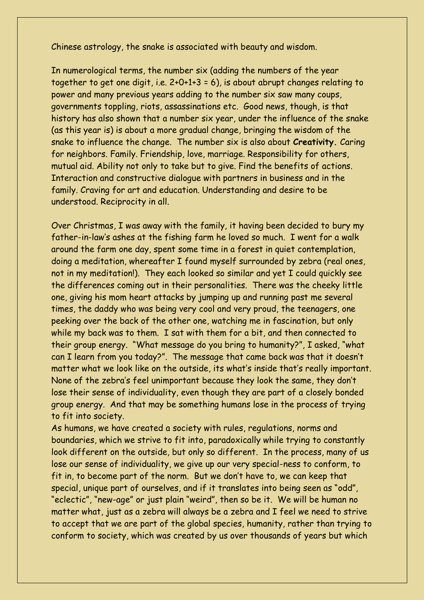Chinese astrology, the snake is associated with beauty and wisdom.

In numerological terms, the number six (adding the numbers of the year together to get one digit, i.e. 2+0+1+3 = 6), is about abrupt changes relating to power and many previous years adding to the number six saw many coups, governments toppling, riots, assassinations etc. Good news, though, is that history has also shown that a number six year, under the influence of the snake (as this year is) is about a more gradual change, bringing the wisdom of the snake to influence the change. The number six is also about **Creativity.** Caring for neighbors. Family. Friendship, love, marriage. Responsibility for others, mutual aid. Ability not only to take but to give. Find the benefits of actions. Interaction and constructive dialogue with partners in business and in the family. Craving for art and education. Understanding and desire to be understood. Reciprocity in all.

Over Christmas, I was away with the family, it having been decided to bury my father-in-law's ashes at the fishing farm he loved so much. I went for a walk around the farm one day, spent some time in a forest in quiet contemplation, doing a meditation, whereafter I found myself surrounded by zebra (real ones, not in my meditation!). They each looked so similar and yet I could quickly see the differences coming out in their personalities. There was the cheeky little one, giving his mom heart attacks by jumping up and running past me several times, the daddy who was being very cool and very proud, the teenagers, one peeking over the back of the other one, watching me in fascination, but only while my back was to them. I sat with them for a bit, and then connected to their group energy. "What message do you bring to humanity?", I asked, "what can I learn from you today?". The message that came back was that it doesn't matter what we look like on the outside, its what's inside that's really important. None of the zebra's feel unimportant because they look the same, they don't lose their sense of individuality, even though they are part of a closely bonded group energy. And that may be something humans lose in the process of trying to fit into society.

As humans, we have created a society with rules, regulations, norms and boundaries, which we strive to fit into, paradoxically while trying to constantly look different on the outside, but only so different. In the process, many of us lose our sense of individuality, we give up our very special-ness to conform, to fit in, to become part of the norm. But we don't have to, we can keep that special, unique part of ourselves, and if it translates into being seen as "odd", "eclectic", "new-age" or just plain "weird", then so be it. We will be human no matter what, just as a zebra will always be a zebra and I feel we need to strive to accept that we are part of the global species, humanity, rather than trying to conform to society, which was created by us over thousands of years but which